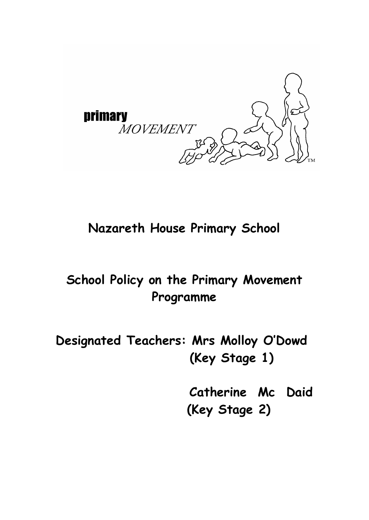

#### **Nazareth House Primary School**

## **School Policy on the Primary Movement Programme**

**Designated Teachers: Mrs Molloy O'Dowd (Key Stage 1)**

> **Catherine Mc Daid (Key Stage 2)**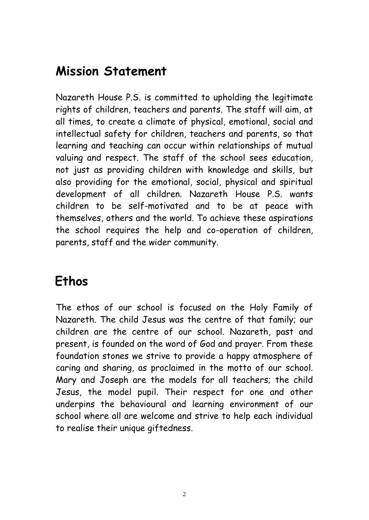#### **Mission Statement**

Nazareth House P.S. is committed to upholding the legitimate rights of children, teachers and parents. The staff will aim, at all times, to create a climate of physical, emotional, social and intellectual safety for children, teachers and parents, so that learning and teaching can occur within relationships of mutual valuing and respect. The staff of the school sees education, not just as providing children with knowledge and skills, but also providing for the emotional, social, physical and spiritual development of all children. Nazareth House P.S. wants children to be self-motivated and to be at peace with themselves, others and the world. To achieve these aspirations the school requires the help and co-operation of children, parents, staff and the wider community.

#### **Ethos**

The ethos of our school is focused on the Holy Family of Nazareth. The child Jesus was the centre of that family; our children are the centre of our school. Nazareth, past and present, is founded on the word of God and prayer. From these foundation stones we strive to provide a happy atmosphere of caring and sharing, as proclaimed in the motto of our school. Mary and Joseph are the models for all teachers; the child Jesus, the model pupil. Their respect for one and other underpins the behavioural and learning environment of our school where all are welcome and strive to help each individual to realise their unique giftedness.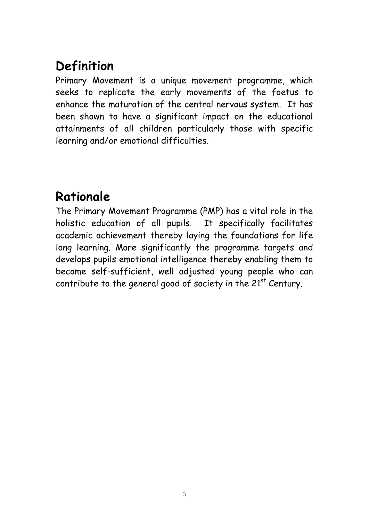# **Definition**

Primary Movement is a unique movement programme, which seeks to replicate the early movements of the foetus to enhance the maturation of the central nervous system. It has been shown to have a significant impact on the educational attainments of all children particularly those with specific learning and/or emotional difficulties.

### **Rationale**

The Primary Movement Programme (PMP) has a vital role in the holistic education of all pupils. It specifically facilitates academic achievement thereby laying the foundations for life long learning. More significantly the programme targets and develops pupils emotional intelligence thereby enabling them to become self-sufficient, well adjusted young people who can contribute to the general good of society in the  $21<sup>st</sup>$  Century.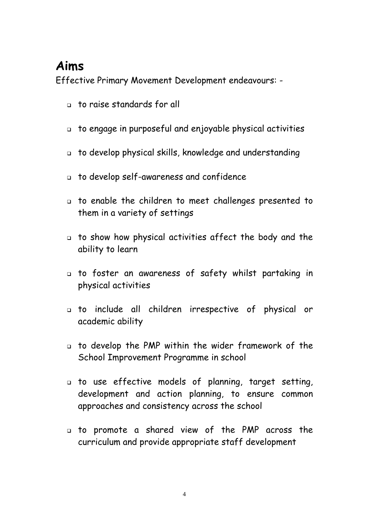#### **Aims**

Effective Primary Movement Development endeavours: -

- to raise standards for all
- to engage in purposeful and enjoyable physical activities
- to develop physical skills, knowledge and understanding
- to develop self-awareness and confidence
- to enable the children to meet challenges presented to them in a variety of settings
- to show how physical activities affect the body and the ability to learn
- to foster an awareness of safety whilst partaking in physical activities
- to include all children irrespective of physical or academic ability
- to develop the PMP within the wider framework of the School Improvement Programme in school
- to use effective models of planning, target setting, development and action planning, to ensure common approaches and consistency across the school
- to promote a shared view of the PMP across the curriculum and provide appropriate staff development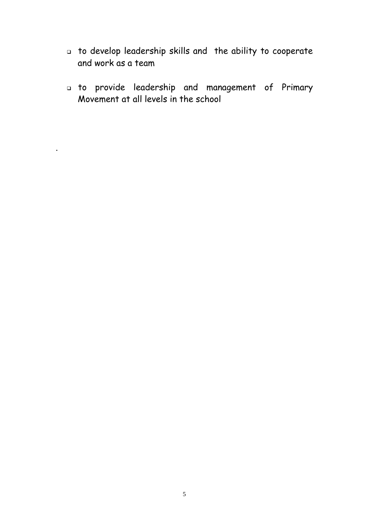- to develop leadership skills and the ability to cooperate and work as a team
- to provide leadership and management of Primary Movement at all levels in the school

.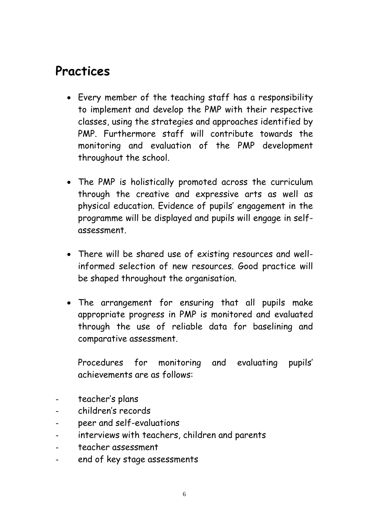#### **Practices**

- Every member of the teaching staff has a responsibility to implement and develop the PMP with their respective classes, using the strategies and approaches identified by PMP. Furthermore staff will contribute towards the monitoring and evaluation of the PMP development throughout the school.
- The PMP is holistically promoted across the curriculum through the creative and expressive arts as well as physical education. Evidence of pupils' engagement in the programme will be displayed and pupils will engage in selfassessment.
- There will be shared use of existing resources and wellinformed selection of new resources. Good practice will be shaped throughout the organisation.
- The arrangement for ensuring that all pupils make appropriate progress in PMP is monitored and evaluated through the use of reliable data for baselining and comparative assessment.

Procedures for monitoring and evaluating pupils' achievements are as follows:

- teacher's plans
- children's records
- peer and self-evaluations
- interviews with teachers, children and parents
- teacher assessment
- end of key stage assessments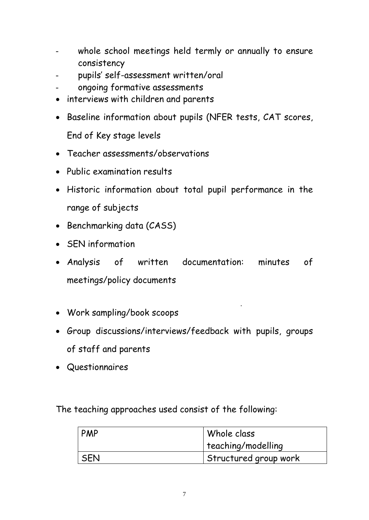- whole school meetings held termly or annually to ensure consistency
- pupils' self-assessment written/oral
- ongoing formative assessments
- interviews with children and parents
- Baseline information about pupils (NFER tests, CAT scores, End of Key stage levels
- Teacher assessments/observations
- Public examination results
- Historic information about total pupil performance in the range of subjects
- Benchmarking data (CASS)
- SEN information
- Analysis of written documentation: minutes of meetings/policy documents
- Work sampling/book scoops
- Group discussions/interviews/feedback with pupils, groups of staff and parents
- Questionnaires

The teaching approaches used consist of the following:

| PMP        | Whole class           |
|------------|-----------------------|
|            | teaching/modelling    |
| <b>SEN</b> | Structured group work |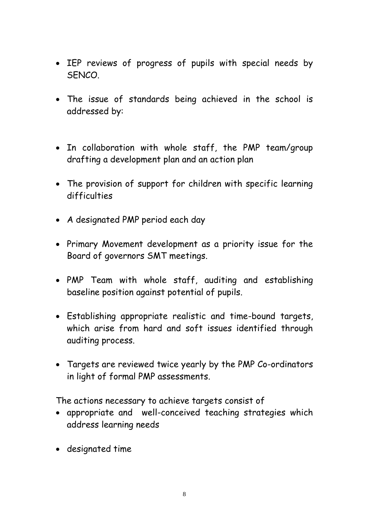- IEP reviews of progress of pupils with special needs by SENCO.
- The issue of standards being achieved in the school is addressed by:
- In collaboration with whole staff, the PMP team/group drafting a development plan and an action plan
- The provision of support for children with specific learning difficulties
- A designated PMP period each day
- Primary Movement development as a priority issue for the Board of governors SMT meetings.
- PMP Team with whole staff, auditing and establishing baseline position against potential of pupils.
- Establishing appropriate realistic and time-bound targets, which arise from hard and soft issues identified through auditing process.
- Targets are reviewed twice yearly by the PMP Co-ordinators in light of formal PMP assessments.

The actions necessary to achieve targets consist of

- appropriate and well-conceived teaching strategies which address learning needs
- designated time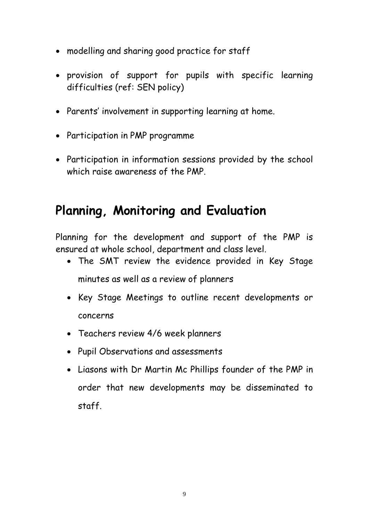- modelling and sharing good practice for staff
- provision of support for pupils with specific learning difficulties (ref: SEN policy)
- Parents' involvement in supporting learning at home.
- Participation in PMP programme
- Participation in information sessions provided by the school which raise awareness of the PMP.

#### **Planning, Monitoring and Evaluation**

Planning for the development and support of the PMP is ensured at whole school, department and class level.

- The SMT review the evidence provided in Key Stage minutes as well as a review of planners
- Key Stage Meetings to outline recent developments or concerns
- Teachers review 4/6 week planners
- Pupil Observations and assessments
- Liasons with Dr Martin Mc Phillips founder of the PMP in order that new developments may be disseminated to staff.